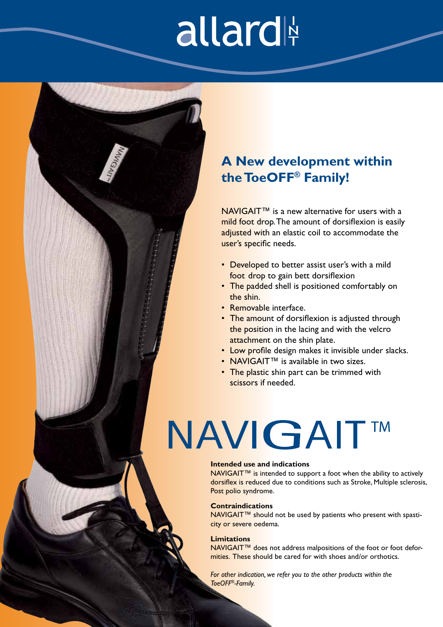## allard

### **A New development within the ToeOFF® Family!**

NAVIGAIT<sup>™</sup> is a new alternative for users with a mild foot drop. The amount of dorsiflexion is easily adjusted with an elastic coil to accommodate the user's specific needs.

- Developed to better assist user's with a mild foot drop to gain bett dorsiflexion
- The padded shell is positioned comfortably on the shin.
- Removable interface.
- The amount of dorsiflexion is adjusted through the position in the lacing and with the velcro attachment on the shin plate.
- Low profile design makes it invisible under slacks.
- NAVIGAIT™ is available in two sizes.
- The plastic shin part can be trimmed with scissors if needed.

### **NAVIGAIT™**

### **Intended use and indications**

NAVIGAIT<sup>™</sup> is intended to support a foot when the ability to actively dorsiflex is reduced due to conditions such as Stroke, Multiple sclerosis, Post polio syndrome.

#### **Contraindications**

NAVIGAIT™ should not be used by patients who present with spasticity or severe oedema.

#### **Limitations**

NAVIGAIT<sup>™</sup> does not address malpositions of the foot or foot deformities. These should be cared for with shoes and/or orthotics.

*For other indication, we refer you to the other products within the ToeOFF®-Family.*